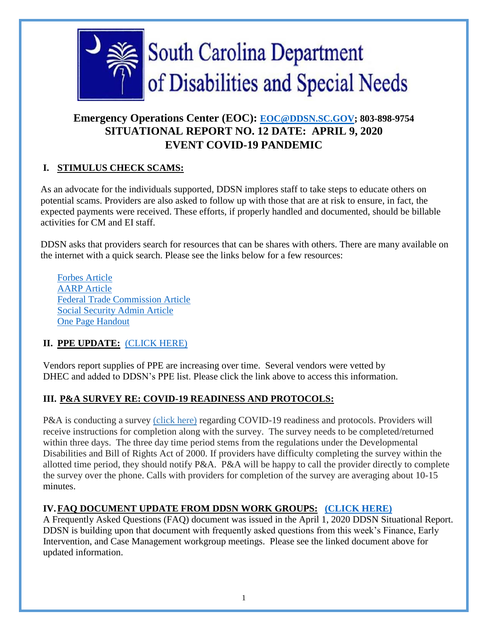

# **Emergency Operations Center (EOC): [EOC@DDSN.SC.GOV;](mailto:eoc@ddsn.sc.goV) 803-898-9754 SITUATIONAL REPORT NO. 12 DATE: APRIL 9, 2020 EVENT COVID-19 PANDEMIC**

### **I. STIMULUS CHECK SCAMS:**

 As an advocate for the individuals supported, DDSN implores staff to take steps to educate others on potential scams. Providers are also asked to follow up with those that are at risk to ensure, in fact, the expected payments were received. These efforts, if properly handled and documented, should be billable activities for CM and EI staff.

DDSN asks that providers search for resources that can be shares with others. There are many available on the internet with a quick search. Please see the links below for a few resources:

[Forbes Article](https://www.forbes.com/sites/kellyphillipserb/2020/03/28/beware-of-stimulus-check-scams-and-related-hoaxes/#6628c1a4730c) [AARP Article](https://www.aarp.org/money/scams-fraud/info-2020/stimulus-checks-scams.html) [Federal Trade Commission Article](https://www.consumer.ftc.gov/blog/2020/04/want-get-your-coronavirus-relief-check-scammers-do-too) [Social Security Admin Article](https://blog.ssa.gov/inspector-general-warns-about-new-social-security-benefit-suspension-scam/) [One Page Handout](https://www.centerstatebank.com/wp-content/uploads/2020/04/CSB_IRSStimulusCheckFraudInfo_Digital.pdf)

# **II. PPE UPDATE:** [\(CLICK HERE\)](https://ddsn.sc.gov/sites/default/files/Documents/Provider/Emergency%20Management/Vendor.Spreadsheet_%20(updated%204-9-2020).pdf)

Vendors report supplies of PPE are increasing over time. Several vendors were vetted by DHEC and added to DDSN's PPE list. Please click the link above to access this information.

### **III. P&A SURVEY RE: COVID-19 READINESS AND PROTOCOLS:**

P&A is conducting a survey [\(click here\)](https://ddsn.sc.gov/sites/default/files/Documents/files/COVID-19%20Monitoring%20Questionaire%20(I).pdf) regarding COVID-19 readiness and protocols. Providers will receive instructions for completion along with the survey. The survey needs to be completed/returned within three days. The three day time period stems from the regulations under the Developmental Disabilities and Bill of Rights Act of 2000. If providers have difficulty completing the survey within the allotted time period, they should notify P&A. P&A will be happy to call the provider directly to complete the survey over the phone. Calls with providers for completion of the survey are averaging about 10-15 minutes.

# **IV.FAQ DOCUMENT UPDATE FROM DDSN WORK GROUPS: [\(CLICK HERE\)](https://ddsn.sc.gov/sites/default/files/Documents/files/FAQ-April%209%2C%202020.pdf)**

 A Frequently Asked Questions (FAQ) document was issued in the April 1, 2020 DDSN Situational Report. DDSN is building upon that document with frequently asked questions from this week's Finance, Early Intervention, and Case Management workgroup meetings. Please see the linked document above for updated information.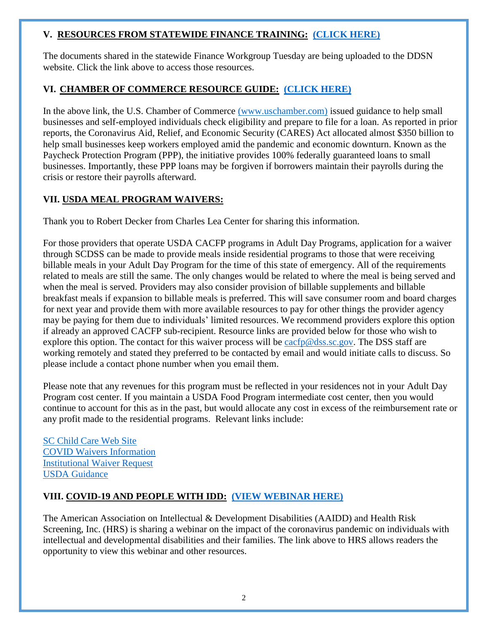#### **V. RESOURCES FROM STATEWIDE FINANCE TRAINING: [\(CLICK HERE\)](https://ddsn.sc.gov/sites/default/files/Documents/files/2020-04%20Statewide%20Financial%20Resources%20Binder.pdf)**

The documents shared in the statewide Finance Workgroup Tuesday are being uploaded to the DDSN website. Click the link above to access those resources.

### **VI. CHAMBER OF COMMERCE RESOURCE GUIDE: [\(CLICK HERE\)](https://www.uschamber.com/report/covid-19-emergency-loans-small-business-guide)**

In the above link, the U.S. Chamber of Commerce [\(www.uschamber.com\)](https://www.uschamber.com/) issued guidance to help small businesses and self-employed individuals check eligibility and prepare to file for a loan. As reported in prior reports, the Coronavirus Aid, Relief, and Economic Security (CARES) Act allocated almost \$350 billion to help small businesses keep workers employed amid the pandemic and economic downturn. Known as the Paycheck Protection Program (PPP), the initiative provides 100% federally guaranteed loans to small businesses. Importantly, these PPP loans may be forgiven if borrowers maintain their payrolls during the crisis or restore their payrolls afterward.

### **VII. USDA MEAL PROGRAM WAIVERS:**

Thank you to Robert Decker from Charles Lea Center for sharing this information.

For those providers that operate USDA CACFP programs in Adult Day Programs, application for a waiver through SCDSS can be made to provide meals inside residential programs to those that were receiving billable meals in your Adult Day Program for the time of this state of emergency. All of the requirements related to meals are still the same. The only changes would be related to where the meal is being served and when the meal is served. Providers may also consider provision of billable supplements and billable breakfast meals if expansion to billable meals is preferred. This will save consumer room and board charges for next year and provide them with more available resources to pay for other things the provider agency may be paying for them due to individuals' limited resources. We recommend providers explore this option if already an approved CACFP sub-recipient. Resource links are provided below for those who wish to explore this option. The contact for this waiver process will be  $\frac{\text{carfp@dss.sc.gov}}{\text{casss.sc.gov}}$ . The DSS staff are working remotely and stated they preferred to be contacted by email and would initiate calls to discuss. So please include a contact phone number when you email them.

Please note that any revenues for this program must be reflected in your residences not in your Adult Day Program cost center. If you maintain a USDA Food Program intermediate cost center, then you would continue to account for this as in the past, but would allocate any cost in excess of the reimbursement rate or any profit made to the residential programs. Relevant links include:

[SC Child Care Web Site](https://scchildcare.org/) [COVID Waivers Information](https://scchildcare.org/news-and-announcements/cacfp-covid19-waivers.aspx) [Institutional Waiver Request](https://scchildcare.org/media/70869/CACFP-Institution-Waiver-Request-Due-to-COVID-19.pdf) [USDA Guidance](https://ddsn.sc.gov/sites/default/files/Documents/files/DSS%20Meal%20Information.pdf)

# **VIII. COVID-19 AND PEOPLE WITH IDD: [\(VIEW WEBINAR HERE\)](https://hrstonline.com/?s=covid&utm_source=MadMimi&utm_medium=email&utm_content=Webinar+Recording%2C+%22COVID-19+%26+People+with+IDD%3A+Impact%2C+Prevention+%26+Action%22&utm_campaign=20200409_m157803056_C19+webinar+%232+recording&utm_term=REGISTER_jpg_3F1586443609)**

The American Association on Intellectual & Development Disabilities (AAIDD) and Health Risk Screening, Inc. (HRS) is sharing a webinar on the impact of the coronavirus pandemic on individuals with intellectual and developmental disabilities and their families. The link above to HRS allows readers the opportunity to view this webinar and other resources.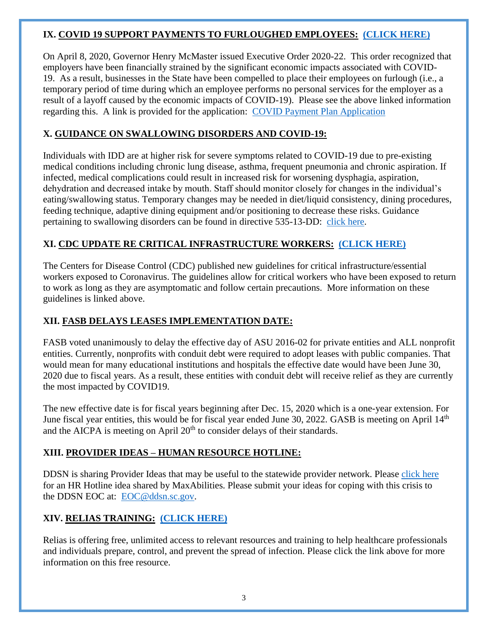#### **IX. COVID 19 SUPPORT PAYMENTS TO FURLOUGHED EMPLOYEES: [\(CLICK HERE\)](https://ddsn.sc.gov/sites/default/files/Documents/files/COVID-19%20Support%20Payments%20to%20Furloughed%20Employees.pdf)**

On April 8, 2020, Governor Henry McMaster issued Executive Order 2020-22. This order recognized that employers have been financially strained by the significant economic impacts associated with COVID-19. As a result, businesses in the State have been compelled to place their employees on furlough (i.e., a temporary period of time during which an employee performs no personal services for the employer as a result of a layoff caused by the economic impacts of COVID-19). Please see the above linked information regarding this. A link is provided for the application: [COVID Payment Plan Application](https://dew.sc.gov/docs/default-source/covid-19/covid-payment-plan-application.docx?sfvrsn=bfc0735_0)

### **X. GUIDANCE ON SWALLOWING DISORDERS AND COVID-19:**

Individuals with IDD are at higher risk for severe symptoms related to COVID-19 due to pre-existing medical conditions including chronic lung disease, asthma, frequent pneumonia and chronic aspiration. If infected, medical complications could result in increased risk for worsening dysphagia, aspiration, dehydration and decreased intake by mouth. Staff should monitor closely for changes in the individual's eating/swallowing status. Temporary changes may be needed in diet/liquid consistency, dining procedures, feeding technique, adaptive dining equipment and/or positioning to decrease these risks. Guidance pertaining to swallowing disorders can be found in directive 535-13-DD: [click here.](https://ddsn.sc.gov/sites/default/files/Documents/Quality%20Management/Current%20Directives/535-13-DD%20-%20NEW%20%28113017%29.pdf)

### **XI. CDC UPDATE RE CRITICAL INFRASTRUCTURE WORKERS: [\(CLICK HERE\)](https://www.cdc.gov/coronavirus/2019-ncov/community/critical-workers/implementing-safety-practices.html)**

 The Centers for Disease Control (CDC) published new guidelines for critical infrastructure/essential workers exposed to Coronavirus. The guidelines allow for critical workers who have been exposed to return to work as long as they are asymptomatic and follow certain precautions. More information on these guidelines is linked above.

### **XII. FASB DELAYS LEASES IMPLEMENTATION DATE:**

FASB voted unanimously to delay the effective day of ASU 2016-02 for private entities and ALL nonprofit entities. Currently, nonprofits with conduit debt were required to adopt leases with public companies. That would mean for many educational institutions and hospitals the effective date would have been June 30, 2020 due to fiscal years. As a result, these entities with conduit debt will receive relief as they are currently the most impacted by COVID19.

The new effective date is for fiscal years beginning after Dec. 15, 2020 which is a one-year extension. For June fiscal year entities, this would be for fiscal year ended June 30, 2022. GASB is meeting on April 14<sup>th</sup> and the AICPA is meeting on April  $20<sup>th</sup>$  to consider delays of their standards.

### **XIII. PROVIDER IDEAS – HUMAN RESOURCE HOTLINE:**

 DDSN is sharing Provider Ideas that may be useful to the statewide provider network. Please [click here](https://ddsn.sc.gov/sites/default/files/Documents/files/HOTLINE.pdf) for an HR Hotline idea shared by MaxAbilities. Please submit your ideas for coping with this crisis to the DDSN EOC at: [EOC@ddsn.sc.gov.](mailto:EOC@ddsn.sc.gov)

# **XIV. RELIAS TRAINING: [\(CLICK HERE\)](https://www.relias.com/topic/coronavirus)**

Relias is offering free, unlimited access to relevant resources and training to help healthcare professionals and individuals prepare, control, and prevent the spread of infection. Please click the link above for more information on this free resource.